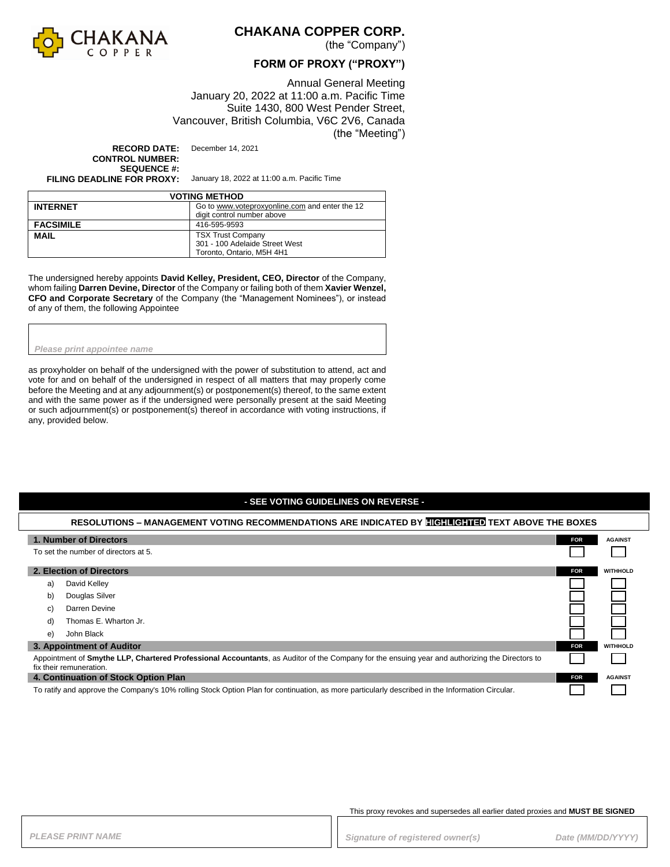

### **CHAKANA COPPER CORP.**

(the "Company")

### **FORM OF PROXY ("PROXY")**

Annual General Meeting January 20, 2022 at 11:00 a.m. Pacific Time Suite 1430, 800 West Pender Street, Vancouver, British Columbia, V6C 2V6, Canada (the "Meeting")

**RECORD DATE:** December 14, 2021 **CONTROL NUMBER: SEQUENCE #:**<br>FILING DEADLINE FOR PROXY:

**FILING DEADLINE FOR PROXY:** January 18, 2022 at 11:00 a.m. Pacific Time

| <b>VOTING METHOD</b> |                                                |  |
|----------------------|------------------------------------------------|--|
| <b>INTERNET</b>      | Go to www.voteproxyonline.com and enter the 12 |  |
|                      | digit control number above                     |  |
| <b>FACSIMILE</b>     | 416-595-9593                                   |  |
| <b>MAIL</b>          | <b>TSX Trust Company</b>                       |  |
|                      | 301 - 100 Adelaide Street West                 |  |
|                      | Toronto, Ontario, M5H 4H1                      |  |

The undersigned hereby appoints **David Kelley, President, CEO, Director** of the Company, whom failing **Darren Devine, Director** of the Company or failing both of them **Xavier Wenzel, CFO and Corporate Secretary** of the Company (the "Management Nominees"), or instead of any of them, the following Appointee

*Please print appointee name*

as proxyholder on behalf of the undersigned with the power of substitution to attend, act and vote for and on behalf of the undersigned in respect of all matters that may properly come before the Meeting and at any adjournment(s) or postponement(s) thereof, to the same extent and with the same power as if the undersigned were personally present at the said Meeting or such adjournment(s) or postponement(s) thereof in accordance with voting instructions, if any, provided below.

#### **- SEE VOTING GUIDELINES ON REVERSE -**

#### **RESOLUTIONS – MANAGEMENT VOTING RECOMMENDATIONS ARE INDICATED BY HIGHLIGHTED TEXT ABOVE THE BOXES**

| 1. Number of Directors                                                                                                                                                    |                           | <b>FOR</b> | <b>AGAINST</b>  |
|---------------------------------------------------------------------------------------------------------------------------------------------------------------------------|---------------------------|------------|-----------------|
| To set the number of directors at 5.                                                                                                                                      |                           |            |                 |
|                                                                                                                                                                           | 2. Election of Directors  | <b>FOR</b> | <b>WITHHOLD</b> |
| a)                                                                                                                                                                        | David Kelley              |            |                 |
| b)                                                                                                                                                                        | Douglas Silver            |            |                 |
| C)                                                                                                                                                                        | Darren Devine             |            |                 |
| d)                                                                                                                                                                        | Thomas E. Wharton Jr.     |            |                 |
| e)                                                                                                                                                                        | John Black                |            |                 |
|                                                                                                                                                                           | 3. Appointment of Auditor | <b>FOR</b> | <b>WITHHOLD</b> |
| Appointment of Smythe LLP, Chartered Professional Accountants, as Auditor of the Company for the ensuing year and authorizing the Directors to<br>fix their remuneration. |                           |            |                 |
| 4. Continuation of Stock Option Plan                                                                                                                                      |                           | <b>FOR</b> | <b>AGAINST</b>  |
| To ratify and approve the Company's 10% rolling Stock Option Plan for continuation, as more particularly described in the Information Circular.                           |                           |            |                 |

This proxy revokes and supersedes all earlier dated proxies and **MUST BE SIGNED**